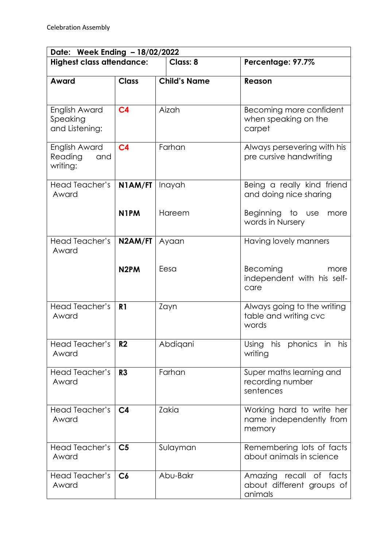| Date: Week Ending - 18/02/2022              |                   |                     |                                                                 |  |  |
|---------------------------------------------|-------------------|---------------------|-----------------------------------------------------------------|--|--|
| <b>Highest class attendance:</b>            |                   | <b>Class: 8</b>     | Percentage: 97.7%                                               |  |  |
| Award                                       | <b>Class</b>      | <b>Child's Name</b> | <b>Reason</b>                                                   |  |  |
| English Award<br>Speaking<br>and Listening: | C <sub>4</sub>    | Aizah               | Becoming more confident<br>when speaking on the<br>carpet       |  |  |
| English Award<br>Reading<br>and<br>writing: | C <sub>4</sub>    | Farhan              | Always persevering with his<br>pre cursive handwriting          |  |  |
| Head Teacher's<br>Award                     | N1AM/FT           | Inayah              | Being a really kind friend<br>and doing nice sharing            |  |  |
|                                             | N <sub>1</sub> PM | Hareem              | Beginning to use<br>more<br>words in Nursery                    |  |  |
| Head Teacher's<br>Award                     | N2AM/FT           | Ayaan               | Having lovely manners                                           |  |  |
|                                             | N <sub>2</sub> PM | Eesa                | Becoming<br>more<br>independent with his self-<br>care          |  |  |
| Head Teacher's<br>Award                     | R <sub>1</sub>    | Zayn                | Always going to the writing<br>table and writing cvc<br>words   |  |  |
| Head Teacher's<br>Award                     | R <sub>2</sub>    | Abdigani            | his<br>his phonics in<br>Using<br>writing                       |  |  |
| Head Teacher's<br>Award                     | R <sub>3</sub>    | Farhan              | Super maths learning and<br>recording number<br>sentences       |  |  |
| Head Teacher's<br>Award                     | C <sub>4</sub>    | Zakia               | Working hard to write her<br>name independently from<br>memory  |  |  |
| Head Teacher's<br>Award                     | C <sub>5</sub>    | Sulayman            | Remembering lots of facts<br>about animals in science           |  |  |
| Head Teacher's<br>Award                     | C6                | Abu-Bakr            | Amazing recall of facts<br>about different groups of<br>animals |  |  |